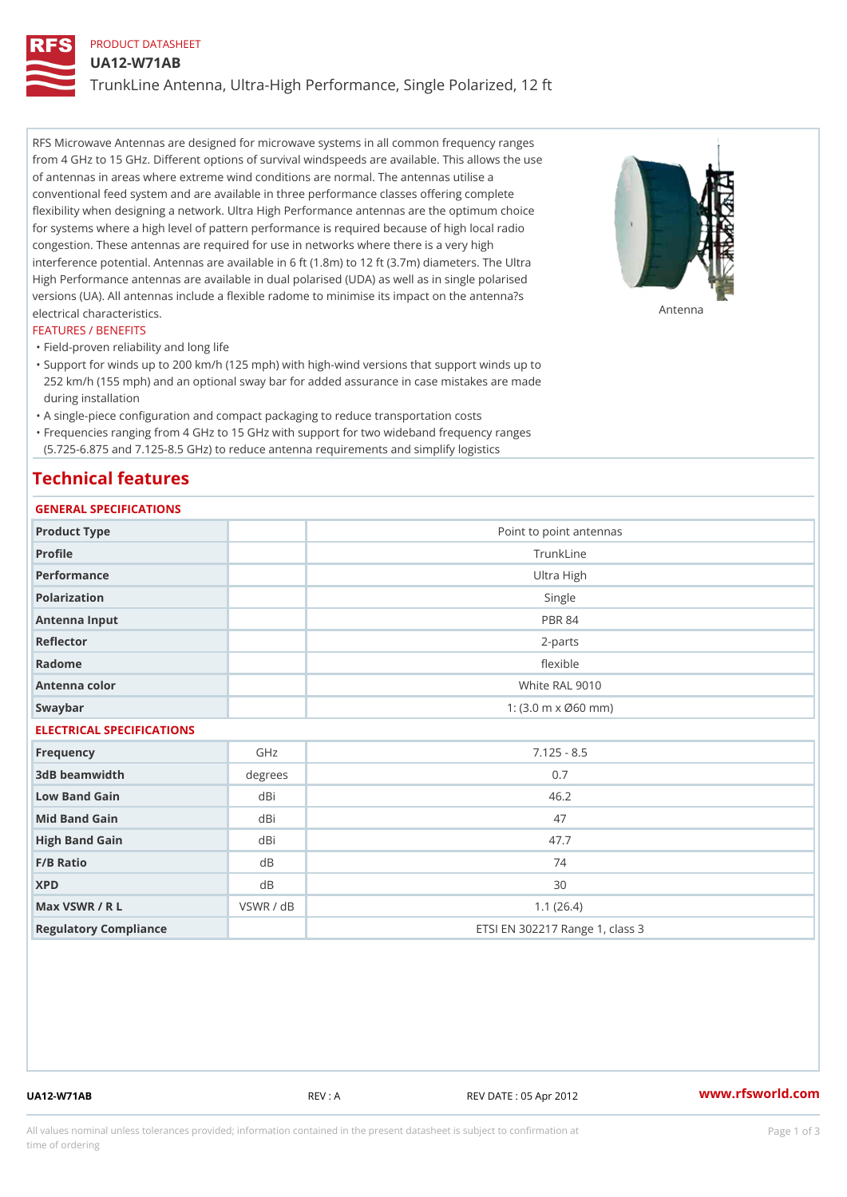# PRODUCT DATASHEET

UA12-W71AB

TrunkLine Antenna, Ultra-High Performance, Single Polarized, 12 ft

RFS Microwave Antennas are designed for microwave systems in all common frequency ranges from 4 GHz to 15 GHz. Different options of survival windspeeds are available. This allows the use of antennas in areas where extreme wind conditions are normal. The antennas utilise a conventional feed system and are available in three performance classes offering complete flexibility when designing a network. Ultra High Performance antennas are the optimum choice for systems where a high level of pattern performance is required because of high local radio congestion. These antennas are required for use in networks where there is a very high interference potential. Antennas are available in 6 ft (1.8m) to 12 ft (3.7m) diameters. The Ultra High Performance antennas are available in dual polarised (UDA) as well as in single polarised versions (UA). All antennas include a flexible radome to minimise its impact on the antenna?s electrical characteristics. Antenna

#### FEATURES / BENEFITS

"Field-proven reliability and long life

- Support for winds up to 200 km/h (125 mph) with high-wind versions that support winds up to " 252 km/h (155 mph) and an optional sway bar for added assurance in case mistakes are made during installation
- "A single-piece configuration and compact packaging to reduce transportation costs
- Frequencies ranging from 4 GHz to 15 GHz with support for two wideband frequency ranges "
- (5.725-6.875 and 7.125-8.5 GHz) to reduce antenna requirements and simplify logistics

# Technical features

# GENERAL SPECIFICATIONS

| OLIVERAL OF LOTITUATIONS  |                |                                                         |  |  |  |
|---------------------------|----------------|---------------------------------------------------------|--|--|--|
| Product Type              |                | Point to point antennas                                 |  |  |  |
| Profile                   |                | TrunkLine                                               |  |  |  |
| Performance               |                | Ultra High                                              |  |  |  |
| Polarization              |                | Single                                                  |  |  |  |
| Antenna Input             |                | <b>PBR 84</b>                                           |  |  |  |
| Reflector                 |                | $2 - p$ arts                                            |  |  |  |
| Radome                    |                | flexible                                                |  |  |  |
| Antenna color             |                | White RAL 9010                                          |  |  |  |
| Swaybar                   |                | 1: $(3.0 \, \text{m} \times \emptyset 60 \, \text{mm})$ |  |  |  |
| ELECTRICAL SPECIFICATIONS |                |                                                         |  |  |  |
| Frequency                 | GHz            | $7.125 - 8.5$                                           |  |  |  |
| 3dB beamwidth             | degrees        | 0.7                                                     |  |  |  |
| Low Band Gain             | dBi            | 46.2                                                    |  |  |  |
| Mid Band Gain             | dBi            | 47                                                      |  |  |  |
| High Band Gain            | dBi            | 47.7                                                    |  |  |  |
| F/B Ratio                 | d B            | 74                                                      |  |  |  |
| <b>XPD</b>                | d <sub>B</sub> | 30                                                      |  |  |  |
| Max VSWR / R L            | VSWR / dB      | 1.1(26.4)                                               |  |  |  |
| Regulatory Compliance     |                | ETSI EN 302217 Range 1, class 3                         |  |  |  |

UA12-W71AB REV : A REV DATE : 05 Apr 2012 [www.](https://www.rfsworld.com)rfsworld.com

All values nominal unless tolerances provided; information contained in the present datasheet is subject to Pcapgeign mation time of ordering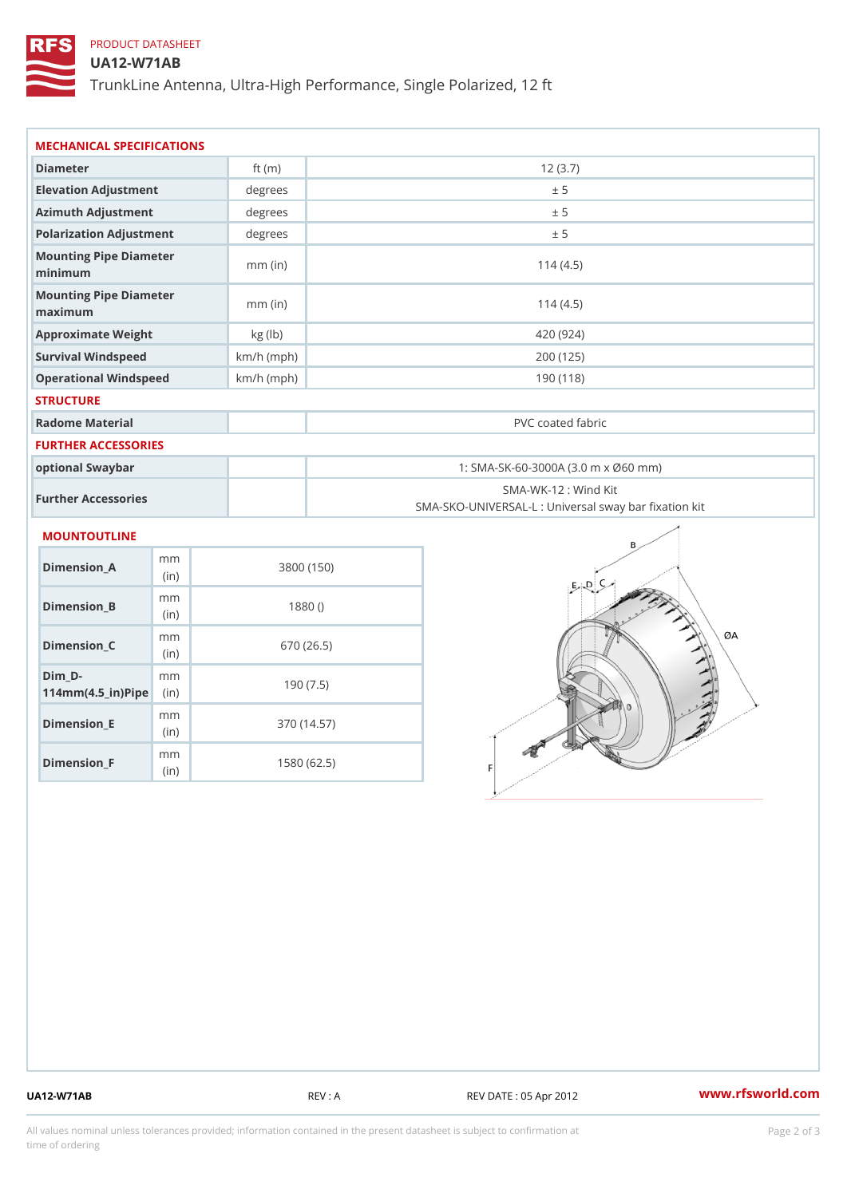# PRODUCT DATASHEET

## UA12-W71AB

TrunkLine Antenna, Ultra-High Performance, Single Polarized, 12 ft

| MECHANICAL SPECIFICATIONS                                                   |              |                                                                          |  |
|-----------------------------------------------------------------------------|--------------|--------------------------------------------------------------------------|--|
| Diameter                                                                    | ft $(m)$     | 12(3.7)                                                                  |  |
| Elevation Adjustment                                                        | degrees      | ± 5                                                                      |  |
| Azimuth Adjustment                                                          | degrees      | ± 5                                                                      |  |
| Polarization Adjustment                                                     | degrees      | ± 5                                                                      |  |
| Mounting Pipe Diameter<br>minimum                                           | $mm$ (in)    | 114(4.5)                                                                 |  |
| Mounting Pipe Diameter<br>maximum                                           | $mm$ (in)    | 114(4.5)                                                                 |  |
| Approximate Weight                                                          | kg (lb)      | 420 (924)                                                                |  |
| Survival Windspeed                                                          | $km/h$ (mph) | 200 (125)                                                                |  |
| Operational Windspeed                                                       | $km/h$ (mph) | 190 (118)                                                                |  |
| <b>STRUCTURE</b>                                                            |              |                                                                          |  |
| Radome Material                                                             |              | PVC coated fabric                                                        |  |
| <b>FURTHER ACCESSORIES</b>                                                  |              |                                                                          |  |
| optional Swaybar                                                            |              | 1: SMA-SK-60-3000A (3.0 m x Ø60 mm)                                      |  |
| Further Accessories                                                         |              | SMA-WK-12: Wind Kit<br>SMA-SKO-UNIVERSAL-L : Universal sway bar fixation |  |
| MOUNTOUTLINE                                                                |              |                                                                          |  |
| m m<br>Dimension_A<br>(in)                                                  |              | 3800 (150)                                                               |  |
| m m<br>$Dimension_B$<br>(in)                                                |              | 1880()                                                                   |  |
| m m<br>$Dimension_C$<br>(in)                                                |              | 670 (26.5)                                                               |  |
| $Dim_D - D -$<br>m <sub>m</sub><br>$114$ m m $(4.5$ $-$ ir $)$ P ii p $\ge$ |              | 190(7.5)                                                                 |  |

Dimension\_E

Dimension\_F

mm (in)

m<sub>m</sub> (in)

370 (14.57)

1580 (62.5)

UA12-W71AB REV : A REV DATE : 05 Apr 2012 [www.](https://www.rfsworld.com)rfsworld.com